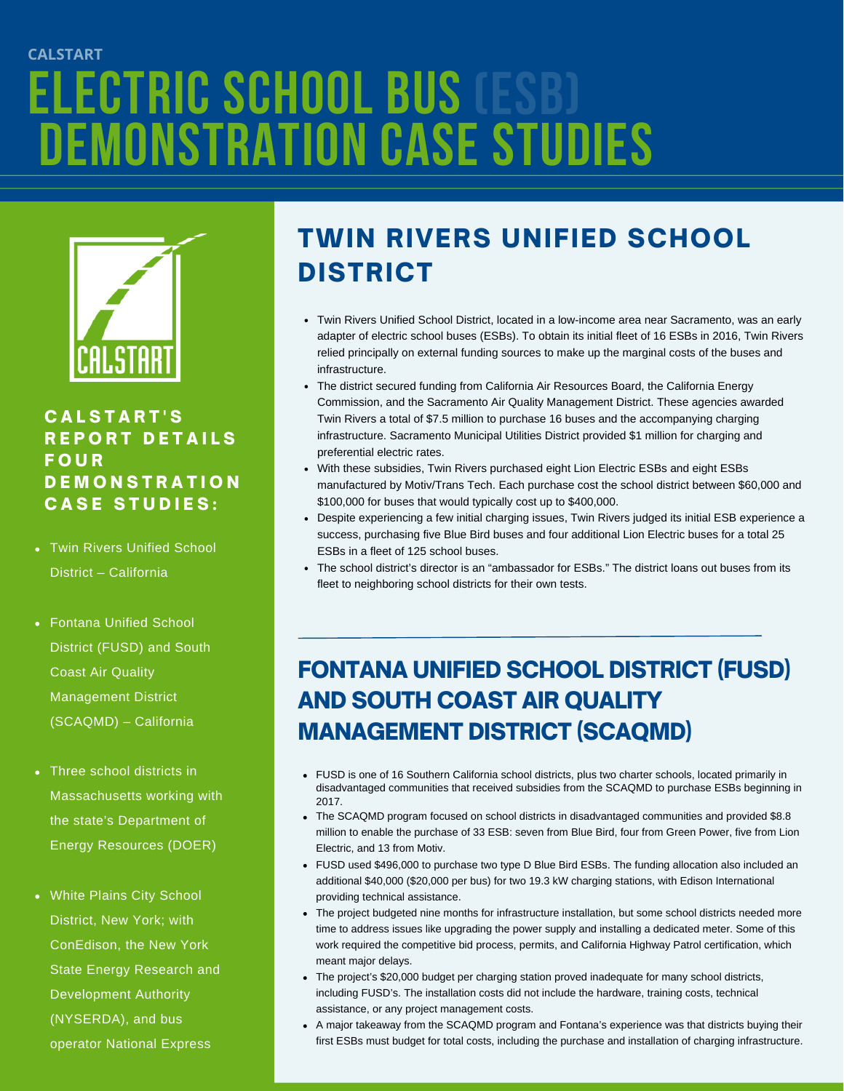# **Electric school Bus DEMONSTRATION CASE STUDIES CALSTART (ESB)**



#### C A L S T A R T ' S REPORT DETAILS **FOUR DEMONSTRATION CASE STUDIES:**

- Twin Rivers Unified School District – California
- Fontana Unified School District (FUSD) and South Coast Air Quality Management District (SCAQMD) – California
- Three school districts in Massachusetts working with the state's Department of Energy Resources (DOER)
- White Plains City School District, New York; with ConEdison, the New York State Energy Research and Development Authority (NYSERDA), and bus operator National Express

## TWIN RIVERS UNIFIED SCHOOL DISTRICT

- Twin Rivers Unified School District, located in a low-income area near Sacramento, was an early adapter of electric school buses (ESBs). To obtain its initial fleet of 16 ESBs in 2016, Twin Rivers relied principally on external funding sources to make up the marginal costs of the buses and infrastructure.
- The district secured funding from California Air Resources Board, the California Energy Commission, and the Sacramento Air Quality Management District. These agencies awarded Twin Rivers a total of \$7.5 million to purchase 16 buses and the accompanying charging infrastructure. Sacramento Municipal Utilities District provided \$1 million for charging and preferential electric rates.
- With these subsidies, Twin Rivers purchased eight Lion Electric ESBs and eight ESBs manufactured by Motiv/Trans Tech. Each purchase cost the school district between \$60,000 and \$100,000 for buses that would typically cost up to \$400,000.
- Despite experiencing a few initial charging issues, Twin Rivers judged its initial ESB experience a success, purchasing five Blue Bird buses and four additional Lion Electric buses for a total 25 ESBs in a fleet of 125 school buses.
- The school district's director is an "ambassador for ESBs." The district loans out buses from its fleet to neighboring school districts for their own tests.

### FONTANA UNIFIED SCHOOL DISTRICT (FUSD) AND SOUTH COAST AIR QUALITY MANAGEMENT DISTRICT (SCAQMD)

- FUSD is one of 16 Southern California school districts, plus two charter schools, located primarily in disadvantaged communities that received subsidies from the SCAQMD to purchase ESBs beginning in 2017.
- The SCAQMD program focused on school districts in disadvantaged communities and provided \$8.8 million to enable the purchase of 33 ESB: seven from Blue Bird, four from Green Power, five from Lion Electric, and 13 from Motiv.
- FUSD used \$496,000 to purchase two type D Blue Bird ESBs. The funding allocation also included an additional \$40,000 (\$20,000 per bus) for two 19.3 kW charging stations, with Edison International providing technical assistance.
- The project budgeted nine months for infrastructure installation, but some school districts needed more time to address issues like upgrading the power supply and installing a dedicated meter. Some of this work required the competitive bid process, permits, and California Highway Patrol certification, which meant major delays.
- The project's \$20,000 budget per charging station proved inadequate for many school districts, including FUSD's. The installation costs did not include the hardware, training costs, technical assistance, or any project management costs.
- A major takeaway from the SCAQMD program and Fontana's experience was that districts buying their first ESBs must budget for total costs, including the purchase and installation of charging infrastructure.